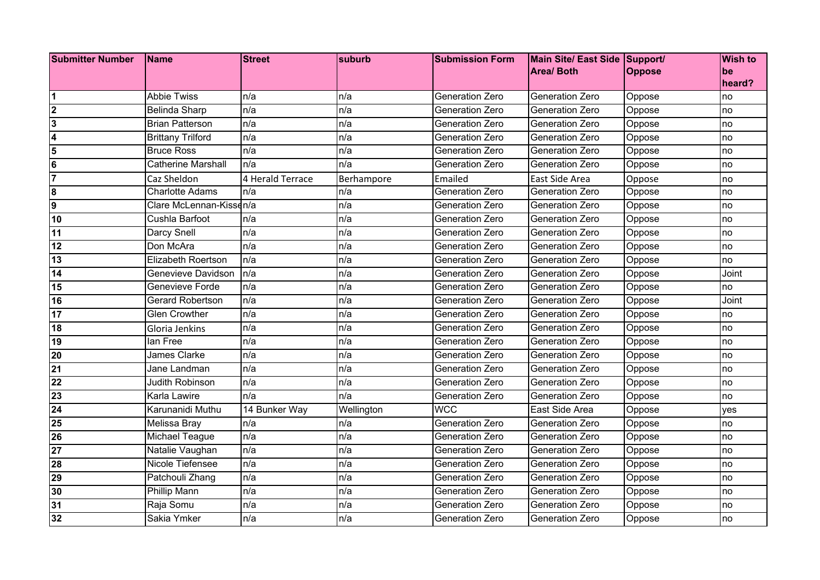| Submitter Number Name   |                           | <b>Street</b>    | suburb     | <b>Submission Form</b> | Main Site/ East Side Support/ |               | <b>Wish to</b> |
|-------------------------|---------------------------|------------------|------------|------------------------|-------------------------------|---------------|----------------|
|                         |                           |                  |            |                        | <b>Area/ Both</b>             | <b>Oppose</b> | be             |
|                         |                           |                  |            |                        |                               |               | heard?         |
| 1                       | <b>Abbie Twiss</b>        | n/a              | n/a        | Generation Zero        | Generation Zero               | Oppose        | no             |
| $\overline{\mathbf{2}}$ | <b>Belinda Sharp</b>      | n/a              | n/a        | Generation Zero        | Generation Zero               | Oppose        | no             |
| $\overline{\mathbf{3}}$ | <b>Brian Patterson</b>    | n/a              | n/a        | Generation Zero        | Generation Zero               | Oppose        | no             |
| $\overline{\mathbf{4}}$ | <b>Brittany Trilford</b>  | n/a              | n/a        | Generation Zero        | Generation Zero               | Oppose        | no             |
| 5                       | <b>Bruce Ross</b>         | n/a              | n/a        | Generation Zero        | Generation Zero               | Oppose        | no             |
| $6\phantom{1}6$         | <b>Catherine Marshall</b> | n/a              | n/a        | Generation Zero        | <b>Generation Zero</b>        | Oppose        | no             |
| $\overline{7}$          | Caz Sheldon               | 4 Herald Terrace | Berhampore | Emailed                | East Side Area                | Oppose        | no             |
| $\overline{\mathbf{8}}$ | <b>Charlotte Adams</b>    | n/a              | n/a        | Generation Zero        | Generation Zero               | Oppose        | no             |
| $\overline{9}$          | Clare McLennan-Kissen/a   |                  | n/a        | Generation Zero        | Generation Zero               | Oppose        | no             |
| 10                      | Cushla Barfoot            | n/a              | n/a        | Generation Zero        | Generation Zero               | Oppose        | no             |
| 11                      | Darcy Snell               | n/a              | n/a        | <b>Generation Zero</b> | Generation Zero               | Oppose        | no             |
| 12                      | Don McAra                 | n/a              | n/a        | <b>Generation Zero</b> | Generation Zero               | Oppose        | no             |
| 13                      | <b>Elizabeth Roertson</b> | n/a              | n/a        | Generation Zero        | Generation Zero               | Oppose        | no             |
| 14                      | Genevieve Davidson        | n/a              | n/a        | Generation Zero        | <b>Generation Zero</b>        | Oppose        | Joint          |
| 15                      | Genevieve Forde           | n/a              | n/a        | Generation Zero        | Generation Zero               | Oppose        | no             |
| 16                      | Gerard Robertson          | n/a              | n/a        | Generation Zero        | Generation Zero               | Oppose        | Joint          |
| 17                      | <b>Glen Crowther</b>      | n/a              | n/a        | Generation Zero        | Generation Zero               | Oppose        | no             |
| 18                      | Gloria Jenkins            | n/a              | n/a        | Generation Zero        | Generation Zero               | Oppose        | no             |
| 19                      | lan Free                  | n/a              | n/a        | Generation Zero        | Generation Zero               | Oppose        | no             |
| 20                      | <b>James Clarke</b>       | n/a              | n/a        | Generation Zero        | Generation Zero               | Oppose        | no             |
| 21                      | Jane Landman              | n/a              | n/a        | Generation Zero        | Generation Zero               | Oppose        | no             |
| $\overline{22}$         | <b>Judith Robinson</b>    | n/a              | n/a        | <b>Generation Zero</b> | Generation Zero               | Oppose        | no             |
| 23                      | Karla Lawire              | n/a              | n/a        | Generation Zero        | Generation Zero               | Oppose        | no             |
| 24                      | Karunanidi Muthu          | 14 Bunker Way    | Wellington | <b>WCC</b>             | East Side Area                | Oppose        | yes            |
| 25                      | Melissa Bray              | n/a              | n/a        | Generation Zero        | <b>Generation Zero</b>        | Oppose        | no             |
| 26                      | <b>Michael Teague</b>     | n/a              | n/a        | Generation Zero        | Generation Zero               | Oppose        | no             |
| $\overline{27}$         | Natalie Vaughan           | n/a              | n/a        | Generation Zero        | Generation Zero               | Oppose        | no             |
| 28                      | Nicole Tiefensee          | n/a              | n/a        | Generation Zero        | Generation Zero               | Oppose        | no             |
| 29                      | Patchouli Zhang           | n/a              | n/a        | Generation Zero        | Generation Zero               | Oppose        | no             |
| 30                      | Phillip Mann              | n/a              | n/a        | Generation Zero        | Generation Zero               | Oppose        | no             |
| 31                      | Raja Somu                 | n/a              | n/a        | Generation Zero        | Generation Zero               | Oppose        | no             |
| 32                      | Sakia Ymker               | n/a              | n/a        | Generation Zero        | <b>Generation Zero</b>        | Oppose        | no             |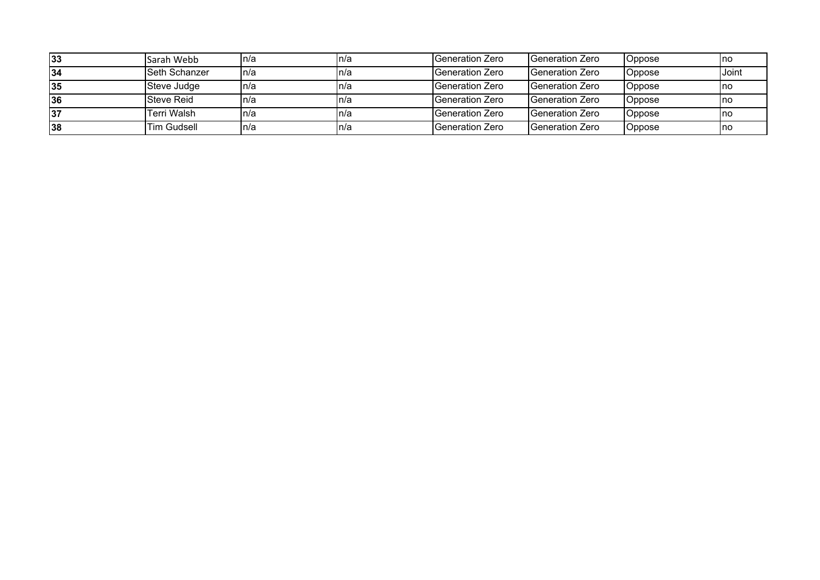| 33  | Sarah Webb           | In/a | In/a | IGeneration Zero        | IGeneration Zero         | Oppose | <u>Inc</u> |
|-----|----------------------|------|------|-------------------------|--------------------------|--------|------------|
| 134 | <b>Seth Schanzer</b> | In/a | In/a | <b>IGeneration Zero</b> | <b>Generation Zero</b>   | Oppose | Joint      |
| 35  | Steve Judge          | In/a | In/a | <b>IGeneration Zero</b> | <b>IGeneration Zero</b>  | Oppose | <u>Inc</u> |
| 36  | Steve Reid           | In/a | In/a | <b>IGeneration Zero</b> | <b>I</b> Generation Zero | Oppose | <u>Inc</u> |
| 37  | <b>Terri Walsh</b>   | In/a | In/a | <b>IGeneration Zero</b> | <b>Generation Zero</b>   | Oppose | -Inc       |
| 38  | Tim Gudsell          | In/a | In/a | <b>IGeneration Zero</b> | <b>I</b> Generation Zero | Oppose | -Ino       |